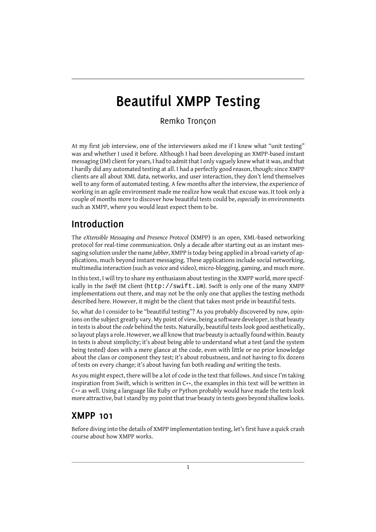## **Beautiful XMPP Testing**

Remko Tronçon

At my first job interview, one of the interviewers asked me if I knew what "unit testing" was and whether I used it before. Although I had been developing an XMPP-based instant messaging (IM) client for years, I had to admit that I only vaguely knew what it was, and that I hardly did any automated testing at all. I had a perfectly good reason, though: since XMPP clients are all about XML data, networks, and user interaction, they don't lend themselves well to any form of automated testing. A few months after the interview, the experience of working in an agile environment made me realize how weak that excuse was. It took only a couple of months more to discover how beautiful tests could be, *especially* in environments such as XMPP, where you would least expect them to be.

## **Introduction**

The *eXtensible Messaging and Presence Protocol* (XMPP) is an open, XML-based networking protocol for real-time communication. Only a decade after starting out as an instant messaging solution under the name *Jabber*, XMPP is today being applied in a broad variety of applications, much beyond instant messaging. These applications include social networking, multimedia interaction (such as voice and video), micro-blogging, gaming, and much more.

In this text, I will try to share my enthusiasm about testing in the XMPP world, more specifically in the *Swift* IM client (<http://swift.im>). Swift is only one of the many XMPP implementations out there, and may not be the only one that applies the testing methods described here. However, it might be the client that takes most pride in beautiful tests.

So, what do I consider to be "beautiful testing"? As you probably discovered by now, opinions on the subject greatly vary. My point of view, being a software developer, is that beauty in tests is about the *code* behind the tests. Naturally, beautiful tests look good aesthetically, so layout plays a role. However, we all know that *true* beauty is actually found within. Beauty in tests is about simplicity; it's about being able to understand what a test (and the system being tested) does with a mere glance at the code, even with little or no prior knowledge about the class or component they test; it's about robustness, and not having to fix dozens of tests on every change; it's about having fun both reading *and* writing the tests.

As you might expect, there will be a lot of code in the text that follows. And since I'm taking inspiration from Swift, which is written in C++, the examples in this text will be written in C++ as well. Using a language like Ruby or Python probably would have made the tests look more attractive, but I stand by my point that true beauty in tests goes beyond shallow looks.

### **XMPP 101**

Before diving into the details of XMPP implementation testing, let's first have a quick crash course about how XMPP works.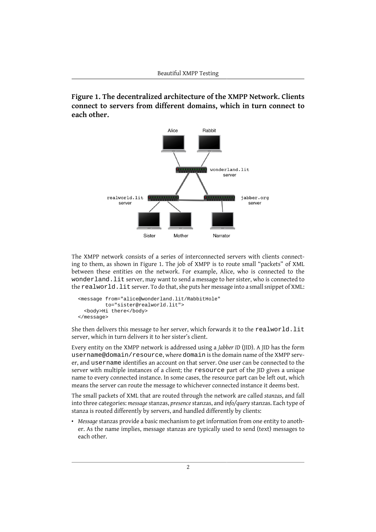<span id="page-1-0"></span>**Figure 1. The decentralized architecture of the XMPP Network. Clients connect to servers from different domains, which in turn connect to each other.**



The XMPP network consists of a series of interconnected servers with clients connecting to them, as shown in [Figure 1](#page-1-0). The job of XMPP is to route small "packets" of XML between these entities on the network. For example, Alice, who is connected to the wonderland.lit server, may want to send a message to her sister, who is connected to the realworld.lit server. To do that, she puts her message into a small snippet of XML:

```
<message from="alice@wonderland.lit/RabbitHole"
          to="sister@realworld.lit">
   <body>Hi there</body>
</message>
```
She then delivers this message to her server, which forwards it to the realworld.lit server, which in turn delivers it to her sister's client.

Every entity on the XMPP network is addressed using a *Jabber ID* (JID). A JID has the form username@domain/resource, where domain is the domain name of the XMPP server, and username identifies an account on that server. One user can be connected to the server with multiple instances of a client; the resource part of the JID gives a unique name to every connected instance. In some cases, the resource part can be left out, which means the server can route the message to whichever connected instance it deems best.

The small packets of XML that are routed through the network are called *stanzas*, and fall into three categories: *message* stanzas, *presence* stanzas, and *info/query* stanzas. Each type of stanza is routed differently by servers, and handled differently by clients:

• *Message* stanzas provide a basic mechanism to get information from one entity to another. As the name implies, message stanzas are typically used to send (text) messages to each other.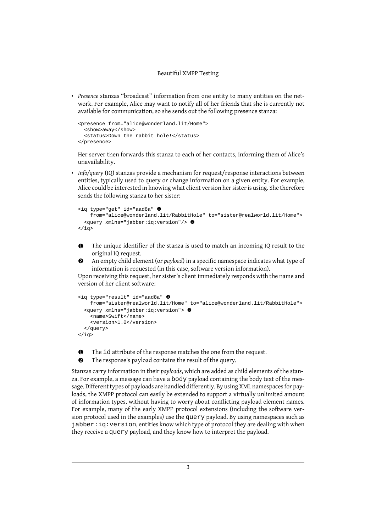• *Presence* stanzas "broadcast" information from one entity to many entities on the network. For example, Alice may want to notify all of her friends that she is currently not available for communication, so she sends out the following presence stanza:

```
<presence from="alice@wonderland.lit/Home">
  <show>away</show>
 <status>Down the rabbit hole!</status>
</presence>
```
Her server then forwards this stanza to each of her contacts, informing them of Alice's unavailability.

• *Info/query* (IQ) stanzas provide a mechanism for request/response interactions between entities, typically used to query or change information on a given entity. For example, Alice could be interested in knowing what client version her sister is using. She therefore sends the following stanza to her sister:

```
<iq type="get" id="aad8a" ❶
     from="alice@wonderland.lit/RabbitHole" to="sister@realworld.lit/Home">
   <query xmlns="jabber:iq:version"/> ❷
\langleig>
```
- ❶ The unique identifier of the stanza is used to match an incoming IQ result to the original IQ request.
- ❷ An empty child element (or *payload*) in a specific namespace indicates what type of information is requested (in this case, software version information).

Upon receiving this request, her sister's client immediately responds with the name and version of her client software:

```
<iq type="result" id="aad8a" ❶
     from="sister@realworld.lit/Home" to="alice@wonderland.lit/RabbitHole">
   <query xmlns="jabber:iq:version"> ❷
     <name>Swift</name>
     <version>1.0</version>
   </query>
\langleiq>
```
❶ The id attribute of the response matches the one from the request.

❷ The response's payload contains the result of the query.

Stanzas carry information in their *payloads*, which are added as child elements of the stanza. For example, a message can have a body payload containing the body text of the message. Different types of payloads are handled differently. By using XML namespaces for payloads, the XMPP protocol can easily be extended to support a virtually unlimited amount of information types, without having to worry about conflicting payload element names. For example, many of the early XMPP protocol extensions (including the software version protocol used in the examples) use the query payload. By using namespaces such as jabber: iq: version, entities know which type of protocol they are dealing with when they receive a query payload, and they know how to interpret the payload.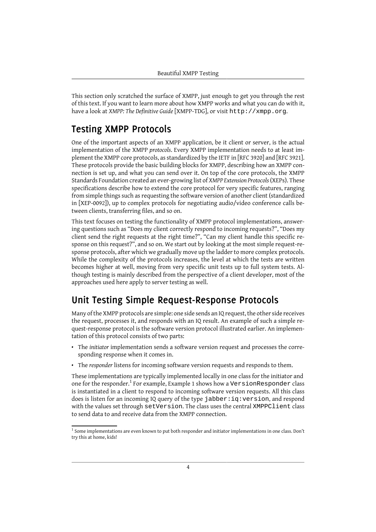This section only scratched the surface of XMPP, just enough to get you through the rest of this text. If you want to learn more about how XMPP works and what you can do with it, have a look at *XMPP: The Definitive Guide* [\[XMPP-TDG](#page-17-0)], or visit <http://xmpp.org>.

## **Testing XMPP Protocols**

One of the important aspects of an XMPP application, be it client or server, is the actual implementation of the XMPP *protocols*. Every XMPP implementation needs to at least implement the XMPP core protocols, as standardized by the IETF in [[RFC 3920](#page-17-1)] and [\[RFC 3921\]](#page-17-2). These protocols provide the basic building blocks for XMPP, describing how an XMPP connection is set up, and what you can send over it. On top of the core protocols, the XMPP Standards Foundation created an ever-growing list of *XMPP Extension Protocols* (XEPs). These specifications describe how to extend the core protocol for very specific features, ranging from simple things such as requesting the software version of another client (standardized in [[XEP-0092\]](#page-17-3)), up to complex protocols for negotiating audio/video conference calls between clients, transferring files, and so on.

This text focuses on testing the functionality of XMPP protocol implementations, answering questions such as "Does my client correctly respond to incoming requests?", "Does my client send the right requests at the right time?", "Can my client handle this specific response on this request?", and so on. We start out by looking at the most simple request-response protocols, after which we gradually move up the ladder to more complex protocols. While the complexity of the protocols increases, the level at which the tests are written becomes higher at well, moving from very specific unit tests up to full system tests. Although testing is mainly described from the perspective of a client developer, most of the approaches used here apply to server testing as well.

## **Unit Testing Simple Request-Response Protocols**

Many of the XMPP protocols are simple: one side sends an IQ request, the other side receives the request, processes it, and responds with an IQ result. An example of such a simple request-response protocol is the software version protocol illustrated earlier. An implementation of this protocol consists of two parts:

- The *initiator* implementation sends a software version request and processes the corresponding response when it comes in.
- The *responder* listens for incoming software version requests and responds to them.

These implementations are typically implemented locally in one class for the initiator and one for the responder.<sup>1</sup> For example, [Example 1](#page-4-0) shows how a VersionResponder class is instantiated in a client to respond to incoming software version requests. All this class does is listen for an incoming IQ query of the type jabber:iq:version, and respond with the values set through set Version. The class uses the central XMPPC lient, class to send data to and receive data from the XMPP connection.

 $^{\rm 1}$  Some implementations are even known to put both responder and initiator implementations in one class. Don't try this at home, kids!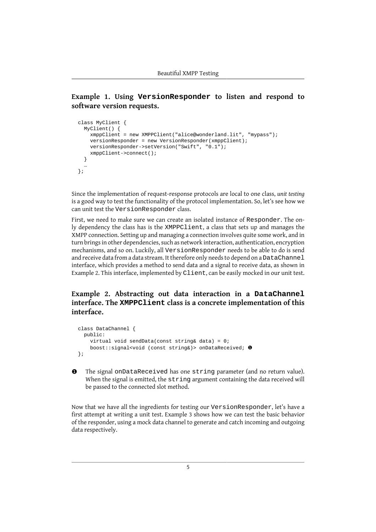#### <span id="page-4-0"></span>**Example 1. Using VersionResponder to listen and respond to software version requests.**

```
class MyClient {
  MyClient() {
     xmppClient = new XMPPClient("alice@wonderland.lit", "mypass");
     versionResponder = new VersionResponder(xmppClient);
     versionResponder->setVersion("Swift", "0.1");
     xmppClient->connect();
   }
 …
};
```
Since the implementation of request-response protocols are local to one class, *unit testing* is a good way to test the functionality of the protocol implementation. So, let's see how we can unit test the VersionResponder class.

First, we need to make sure we can create an isolated instance of Responder. The only dependency the class has is the XMPPClient, a class that sets up and manages the XMPP connection. Setting up and managing a connection involves quite some work, and in turn brings in other dependencies, such as network interaction, authentication, encryption mechanisms, and so on. Luckily, all VersionResponder needs to be able to do is send and receive data from a data stream. It therefore only needs to depend on a DataChannel interface, which provides a method to send data and a signal to receive data, as shown in [Example 2](#page-4-1). This interface, implemented by Client, can be easily mocked in our unit test.

#### <span id="page-4-1"></span>**Example 2. Abstracting out data interaction in a DataChannel interface. The XMPPClient class is a concrete implementation of this interface.**

```
class DataChannel {
   public:
     virtual void sendData(const string& data) = 0; 
     boost::signal<void (const string&)> onDataReceived; ❶
};
```
❶ The signal onDataReceived has one string parameter (and no return value). When the signal is emitted, the string argument containing the data received will be passed to the connected slot method.

Now that we have all the ingredients for testing our VersionResponder, let's have a first attempt at writing a unit test. [Example 3](#page-5-0) shows how we can test the basic behavior of the responder, using a mock data channel to generate and catch incoming and outgoing data respectively.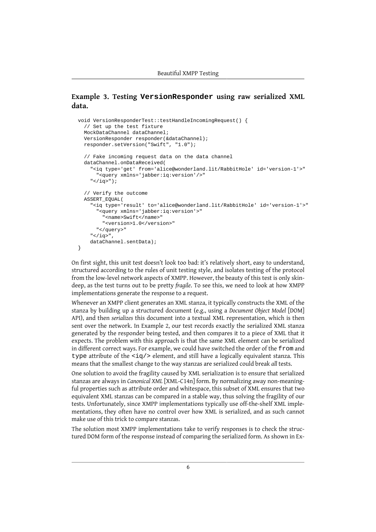#### <span id="page-5-0"></span>**Example 3. Testing VersionResponder using raw serialized XML data.**

```
void VersionResponderTest::testHandleIncomingRequest() {
   // Set up the test fixture
  MockDataChannel dataChannel;
  VersionResponder responder(&dataChannel);
  responder.setVersion("Swift", "1.0");
   // Fake incoming request data on the data channel
  dataChannel.onDataReceived(
     "<iq type='get' from='alice@wonderland.lit/RabbitHole' id='version-1'>"
       "<query xmlns='jabber:iq:version'/>"
    " </iq>");
   // Verify the outcome
  ASSERT_EQUAL(
     "<iq type='result' to='alice@wonderland.lit/RabbitHole' id='version-1'>"
       "<query xmlns='jabber:iq:version'>"
         "<name>Swift</name>"
         "<version>1.0</version>"
       "</query>"
    " </ia>".
    dataChannel.sentData);
}
```
On first sight, this unit test doesn't look too bad: it's relatively short, easy to understand, structured according to the rules of unit testing style, and isolates testing of the protocol from the low-level network aspects of XMPP. However, the beauty of this test is only skindeep, as the test turns out to be pretty *fragile*. To see this, we need to look at how XMPP implementations generate the response to a request.

Whenever an XMPP client generates an XML stanza, it typically constructs the XML of the stanza by building up a structured document (e.g., using a *Document Object Model* [[DOM\]](#page-17-4) API), and then *serializes* this document into a textual XML representation, which is then sent over the network. In [Example 2,](#page-4-1) our test records exactly the serialized XML stanza generated by the responder being tested, and then compares it to a piece of XML that it expects. The problem with this approach is that the same XML element can be serialized in different correct ways. For example, we could have switched the order of the from and type attribute of the  $\langle iq \rangle$  element, and still have a logically equivalent stanza. This means that the smallest change to the way stanzas are serialized could break *all* tests.

One solution to avoid the fragility caused by XML serialization is to ensure that serialized stanzas are always in *Canonical XML* [[XML-C14n](#page-17-5)] form. By normalizing away non-meaningful properties such as attribute order and whitespace, this subset of XML ensures that two equivalent XML stanzas can be compared in a stable way, thus solving the fragility of our tests. Unfortunately, since XMPP implementations typically use off-the-shelf XML implementations, they often have no control over how XML is serialized, and as such cannot make use of this trick to compare stanzas.

The solution most XMPP implementations take to verify responses is to check the structured DOM form of the response instead of comparing the serialized form. As shown in [Ex-](#page-6-0)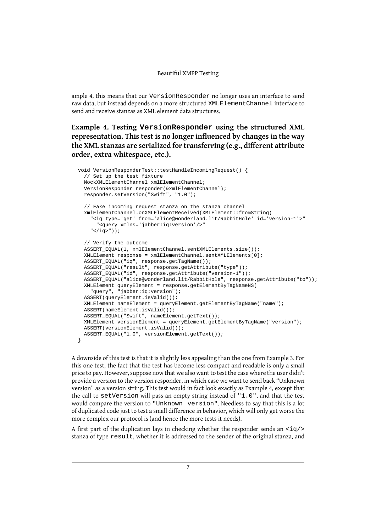[ample 4](#page-6-0), this means that our VersionResponder no longer uses an interface to send raw data, but instead depends on a more structured XMLElementChannel interface to send and receive stanzas as XML element data structures.

<span id="page-6-0"></span>**Example 4. Testing VersionResponder using the structured XML representation. This test is no longer influenced by changes in the way the XML stanzas are serialized for transferring (e.g., different attribute order, extra whitespace, etc.).**

```
void VersionResponderTest::testHandleIncomingRequest() {
   // Set up the test fixture
  MockXMLElementChannel xmlElementChannel;
  VersionResponder responder(&xmlElementChannel);
   responder.setVersion("Swift", "1.0"); 
   // Fake incoming request stanza on the stanza channel
   xmlElementChannel.onXMLElementReceived(XMLElement::fromString(
     "<iq type='get' from='alice@wonderland.lit/RabbitHole' id='version-1'>"
       "<query xmlns='jabber:iq:version'/>"
    " </iq>"));
   // Verify the outcome
   ASSERT_EQUAL(1, xmlElementChannel.sentXMLElements.size());
   XMLElement response = xmlElementChannel.sentXMLElements[0];
  ASSERT_EQUAL("iq", response.getTagName());
   ASSERT_EQUAL("result", response.getAttribute("type"));
   ASSERT_EQUAL("id", response.getAttribute("version-1"));
  ASSERT_EQUAL("alice@wonderland.lit/RabbitHole", response.getAttribute("to"));
  XMLElement queryElement = response.getElementByTagNameNS(
    "query", "jabber:iq:version");
   ASSERT(queryElement.isValid());
  XMLElement nameElement = queryElement.getElementByTagName("name");
  ASSERT(nameElement.isValid());
 ASSERT_EQUAL("Swift", nameElement.getText());
  XMLElement versionElement = queryElement.getElementByTagName("version");
  ASSERT(versionElement.isValid());
  ASSERT_EQUAL("1.0", versionElement.getText());
}
```
A downside of this test is that it is slightly less appealing than the one from [Example 3.](#page-5-0) For this one test, the fact that the test has become less compact and readable is only a small price to pay. However, suppose now that we also want to test the case where the user didn't provide a version to the version responder, in which case we want to send back "Unknown version" as a version string. This test would in fact look exactly as [Example 4](#page-6-0), except that the call to setVersion will pass an empty string instead of "1.0", and that the test would compare the version to "Unknown version". Needless to say that this is a lot of duplicated code just to test a small difference in behavior, which will only get worse the more complex our protocol is (and hence the more tests it needs).

A first part of the duplication lays in checking whether the responder sends an  $\langle iq/$ stanza of type result, whether it is addressed to the sender of the original stanza, and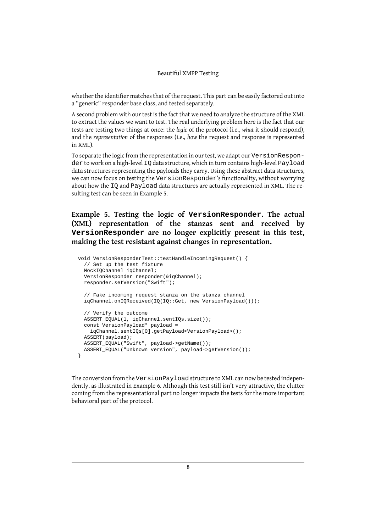whether the identifier matches that of the request. This part can be easily factored out into a "generic" responder base class, and tested separately.

A second problem with our test is the fact that we need to analyze the structure of the XML to extract the values we want to test. The real underlying problem here is the fact that our tests are testing two things at once: the *logic* of the protocol (i.e., *what* it should respond), and the *representation* of the responses (i.e., *how* the request and response is represented in XML).

To separate the logic from the representation in our test, we adapt our VersionResponder to work on a high-level IQ data structure, which in turn contains high-level Payload data structures representing the payloads they carry. Using these abstract data structures, we can now focus on testing the VersionResponder's functionality, without worrying about how the IQ and Payload data structures are actually represented in XML. The resulting test can be seen in [Example 5](#page-7-0).

<span id="page-7-0"></span>**Example 5. Testing the logic of VersionResponder. The actual (XML) representation of the stanzas sent and received by VersionResponder are no longer explicitly present in this test, making the test resistant against changes in representation.**

```
void VersionResponderTest::testHandleIncomingRequest() {
   // Set up the test fixture
  MockIQChannel iqChannel;
  VersionResponder responder(&iqChannel);
  responder.setVersion("Swift"); 
   // Fake incoming request stanza on the stanza channel
   iqChannel.onIQReceived(IQ(IQ::Get, new VersionPayload()));
   // Verify the outcome
   ASSERT_EQUAL(1, iqChannel.sentIQs.size());
  const VersionPayload* payload = 
     iqChannel.sentIQs[0].getPayload<VersionPayload>();
  ASSERT(payload);
  ASSERT_EQUAL("Swift", payload->getName());
  ASSERT_EQUAL("Unknown version", payload->getVersion());
}
```
The conversion from the VersionPayload structure to XML can now be tested independently, as illustrated in [Example 6](#page-8-0). Although this test still isn't very attractive, the clutter coming from the representational part no longer impacts the tests for the more important behavioral part of the protocol.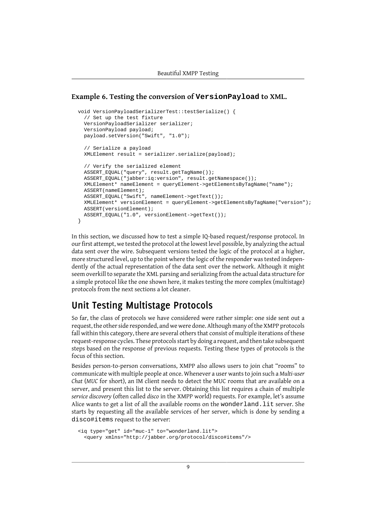#### <span id="page-8-0"></span>**Example 6. Testing the conversion of VersionPayload to XML.**

```
void VersionPayloadSerializerTest::testSerialize() {
   // Set up the test fixture
   VersionPayloadSerializer serializer;
  VersionPayload payload;
  payload.setVersion("Swift", "1.0");
   // Serialize a payload
  XMLElement result = serializer.serialize(payload);
   // Verify the serialized element
 ASSERT EQUAL("query", result.getTagName());
  ASSERT_EQUAL("jabber:iq:version", result.getNamespace());
  XMLElement* nameElement = queryElement->getElementsByTagName("name");
  ASSERT(nameElement);
   ASSERT_EQUAL("Swift", nameElement->getText());
  XMLElement* versionElement = queryElement->getElementsByTagName("version");
  ASSERT(versionElement);
  ASSERT_EQUAL("1.0", versionElement->getText());
}
```
In this section, we discussed how to test a simple IQ-based request/response protocol. In our first attempt, we tested the protocol at the lowest level possible, by analyzing the actual data sent over the wire. Subsequent versions tested the logic of the protocol at a higher, more structured level, up to the point where the logic of the responder was tested independently of the actual representation of the data sent over the network. Although it might seem overkill to separate the XML parsing and serializing from the actual data structure for a simple protocol like the one shown here, it makes testing the more complex (multistage) protocols from the next sections a lot cleaner.

### **Unit Testing Multistage Protocols**

So far, the class of protocols we have considered were rather simple: one side sent out a request, the other side responded, and we were done. Although many of the XMPP protocols fall within this category, there are several others that consist of multiple iterations of these request-response cycles. These protocols start by doing a request, and then take subsequent steps based on the response of previous requests. Testing these types of protocols is the focus of this section.

Besides person-to-person conversations, XMPP also allows users to join chat "rooms" to communicate with multiple people at once. Whenever a user wants to join such a *Multi-user Chat* (*MUC* for short), an IM client needs to detect the MUC rooms that are available on a server, and present this list to the server. Obtaining this list requires a chain of multiple *service discovery* (often called *disco* in the XMPP world) requests. For example, let's assume Alice wants to get a list of all the available rooms on the wonderland. Lit server. She starts by requesting all the available services of her server, which is done by sending a disco#items request to the server:

```
<iq type="get" id="muc-1" to="wonderland.lit">
   <query xmlns="http://jabber.org/protocol/disco#items"/>
```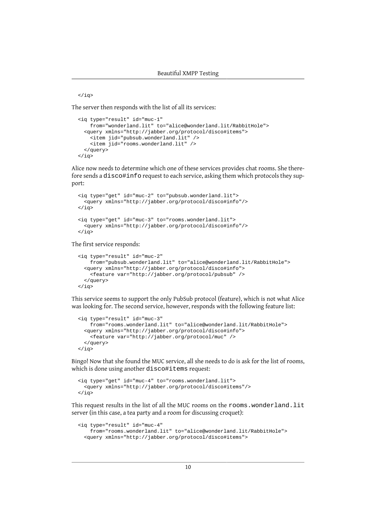$\langle$ iq>

The server then responds with the list of all its services:

```
<iq type="result" id="muc-1"
     from="wonderland.lit" to="alice@wonderland.lit/RabbitHole">
   <query xmlns="http://jabber.org/protocol/disco#items">
     <item jid="pubsub.wonderland.lit" />
     <item jid="rooms.wonderland.lit" />
   </query>
\langle iq \rangle
```
Alice now needs to determine which one of these services provides chat rooms. She therefore sends a disco#info request to each service, asking them which protocols they support:

```
<iq type="get" id="muc-2" to="pubsub.wonderland.lit">
   <query xmlns="http://jabber.org/protocol/disco#info"/>
\langleiq>
<iq type="get" id="muc-3" to="rooms.wonderland.lit">
  <query xmlns="http://jabber.org/protocol/disco#info"/>
</iq>
```
The first service responds:

```
<iq type="result" id="muc-2" 
     from="pubsub.wonderland.lit" to="alice@wonderland.lit/RabbitHole">
   <query xmlns="http://jabber.org/protocol/disco#info">
     <feature var="http://jabber.org/protocol/pubsub" />
   </query>
\langleiq>
```
This service seems to support the only PubSub protocol (feature), which is not what Alice was looking for. The second service, however, responds with the following feature list:

```
<iq type="result" id="muc-3" 
     from="rooms.wonderland.lit" to="alice@wonderland.lit/RabbitHole">
   <query xmlns="http://jabber.org/protocol/disco#info">
     <feature var="http://jabber.org/protocol/muc" />
   </query>
\langleiq>
```
Bingo! Now that she found the MUC service, all she needs to do is ask for the list of rooms, which is done using another disco#items request:

```
<iq type="get" id="muc-4" to="rooms.wonderland.lit">
   <query xmlns="http://jabber.org/protocol/disco#items"/>
\langleig>
```
This request results in the list of all the MUC rooms on the rooms.wonderland.lit server (in this case, a tea party and a room for discussing croquet):

```
<iq type="result" id="muc-4" 
    from="rooms.wonderland.lit" to="alice@wonderland.lit/RabbitHole">
  <query xmlns="http://jabber.org/protocol/disco#items">
```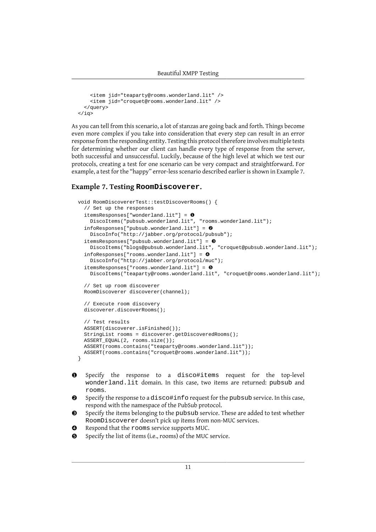```
 <item jid="teaparty@rooms.wonderland.lit" />
     <item jid="croquet@rooms.wonderland.lit" />
   </query>
\langleiq>
```
As you can tell from this scenario, a lot of stanzas are going back and forth. Things become even more complex if you take into consideration that every step can result in an error response from the responding entity. Testing this protocol therefore involves multiple tests for determining whether our client can handle every type of response from the server, both successful and unsuccessful. Luckily, because of the high level at which we test our protocols, creating a test for one scenario can be very compact and straightforward. For example, a test for the "happy" error-less scenario described earlier is shown in [Example 7.](#page-10-0)

#### <span id="page-10-0"></span>**Example 7. Testing RoomDiscoverer.**

```
void RoomDiscovererTest::testDiscoverRooms() {
   // Set up the responses
   itemsResponses["wonderland.lit"] = ❶
    DiscoItems("pubsub.wonderland.lit", "rooms.wonderland.lit");
  infoResponses["pubsub.wonderland.lit"] = ❷
    DiscoInfo("http://jabber.org/protocol/pubsub");
   itemsResponses["pubsub.wonderland.lit"] = ❸
    DiscoItems("blogs@pubsub.wonderland.lit", "croquet@pubsub.wonderland.lit"); 
   infoResponses["rooms.wonderland.lit"] = ❹
    DiscoInfo("http://jabber.org/protocol/muc");
   itemsResponses["rooms.wonderland.lit"] = ❺
    DiscoItems("teaparty@rooms.wonderland.lit", "croquet@rooms.wonderland.lit");
   // Set up room discoverer
  RoomDiscoverer discoverer(channel);
   // Execute room discovery
 discoverer.discoverRooms();
   // Test results
  ASSERT(discoverer.isFinished());
   StringList rooms = discoverer.getDiscoveredRooms();
   ASSERT_EQUAL(2, rooms.size());
  ASSERT(rooms.contains("teaparty@rooms.wonderland.lit"));
  ASSERT(rooms.contains("croquet@rooms.wonderland.lit"));
}
```
- ❶ Specify the response to a disco#items request for the top-level wonderland.lit domain. In this case, two items are returned: pubsub and rooms.
- ❷ Specify the response to a disco#info request for the pubsub service. In this case, respond with the namespace of the PubSub protocol.
- Specify the items belonging to the pubsub service. These are added to test whether RoomDiscoverer doesn't pick up items from non-MUC services.
- ❹ Respond that the rooms service supports MUC.
- ❺ Specify the list of items (i.e., rooms) of the MUC service.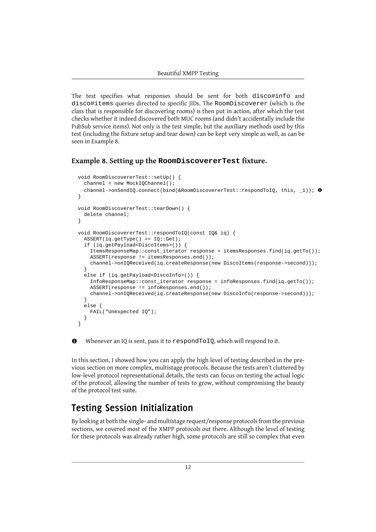The test specifies what responses should be sent for both disco#info and disco#items queries directed to specific JIDs. The RoomDiscoverer (which is the class that is responsible for discovering rooms) is then put in action, after which the test checks whether it indeed discovered both MUC rooms (and didn't accidentally include the PubSub service items). Not only is the test simple, but the auxiliary methods used by this test (including the fixture setup and tear down) can be kept very simple as well, as can be seen in [Example 8.](#page-11-0)

#### <span id="page-11-0"></span>**Example 8. Setting up the RoomDiscovererTest fixture.**

```
void RoomDiscovererTest::setUp() {
  channel = new MockIQChannel();
  channel->onSendIO.connect(bind(&RoomDiscovererTest::respondToIQ, this, \_1)); \bullet}
void RoomDiscovererTest::tearDown() {
   delete channel;
\lambdavoid RoomDiscovererTest::respondToIQ(const IQ& iq) {
  ASSERT(iq.getType() == IQ::Get); if (iq.getPayload<DiscoItems>()) { 
     ItemsResponseMap::const_iterator response = itemsResponses.find(iq.getTo());
     ASSERT(response != itemsResponses.end());
     channel->onIQReceived(iq.createResponse(new DiscoItems(response->second)));
 }
  else if (iq.getPayload<DiscoInfo>()) {
     InfoResponseMap::const_iterator response = infoResponses.find(iq.getTo());
     ASSERT(response != infoResponses.end());
     channel->onIQReceived(iq.createResponse(new DiscoInfo(response->second)));
   }
   else {
     FAIL("Unexpected IQ");
 }
}
```
❶ Whenever an IQ is sent, pass it to respondToIQ, which will respond to it.

In this section, I showed how you can apply the high level of testing described in the previous section on more complex, multistage protocols. Because the tests aren't cluttered by low-level protocol representational details, the tests can focus on testing the actual logic of the protocol, allowing the number of tests to grow, without compromising the beauty of the protocol test suite.

### **Testing Session Initialization**

By looking at both the single- and multistage request/response protocols from the previous sections, we covered most of the XMPP protocols out there. Although the level of testing for these protocols was already rather high, some protocols are still so complex that even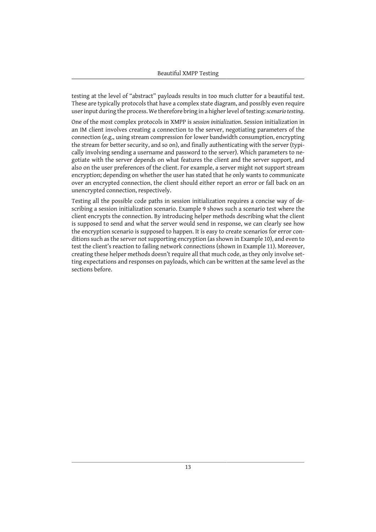testing at the level of "abstract" payloads results in too much clutter for a beautiful test. These are typically protocols that have a complex state diagram, and possibly even require user input during the process. We therefore bring in a higher level of testing: *scenario testing*.

One of the most complex protocols in XMPP is *session initialization*. Session initialization in an IM client involves creating a connection to the server, negotiating parameters of the connection (e.g., using stream compression for lower bandwidth consumption, encrypting the stream for better security, and so on), and finally authenticating with the server (typically involving sending a username and password to the server). Which parameters to negotiate with the server depends on what features the client and the server support, and also on the user preferences of the client. For example, a server might not support stream encryption; depending on whether the user has stated that he only wants to communicate over an encrypted connection, the client should either report an error or fall back on an unencrypted connection, respectively.

Testing all the possible code paths in session initialization requires a concise way of describing a session initialization scenario. [Example 9](#page-13-0) shows such a scenario test where the client encrypts the connection. By introducing helper methods describing what the client is supposed to send and what the server would send in response, we can clearly see how the encryption scenario is supposed to happen. It is easy to create scenarios for error conditions such as the server not supporting encryption (as shown in [Example 10](#page-14-0)), and even to test the client's reaction to failing network connections (shown in [Example 11\)](#page-14-1). Moreover, creating these helper methods doesn't require all that much code, as they only involve setting expectations and responses on payloads, which can be written at the same level as the sections before.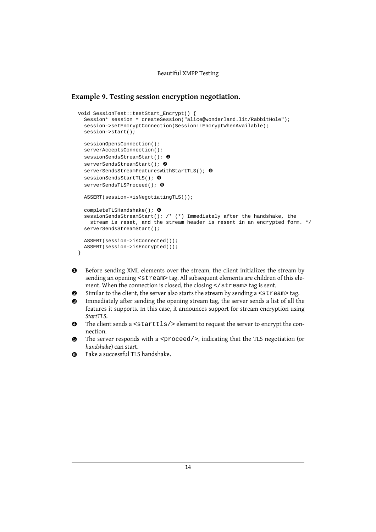#### <span id="page-13-0"></span>**Example 9. Testing session encryption negotiation.**

```
void SessionTest::testStart_Encrypt() {
   Session* session = createSession("alice@wonderland.lit/RabbitHole");
   session->setEncryptConnection(Session::EncryptWhenAvailable);
   session->start();
   sessionOpensConnection();
   serverAcceptsConnection();
  sessionSendsStreamStart(); 0
   serverSendsStreamStart(); ❷
  serverSendsStreamFeaturesWithStartTLS(); 0
  sessionSendsStartTLS(); @
  serverSendsTLSProceed(); \Theta ASSERT(session->isNegotiatingTLS());
  completeTLSHandshake(); @
  sessionSendsStreamStart(); /* (*) Immediately after the handshake, the
     stream is reset, and the stream header is resent in an encrypted form. */
   serverSendsStreamStart();
   ASSERT(session->isConnected());
   ASSERT(session->isEncrypted());
}
```
- ❶ Before sending XML elements over the stream, the client initializes the stream by sending an opening <stream> tag. All subsequent elements are children of this element. When the connection is closed, the closing </stream> tag is sent.
- ❷ Similar to the client, the server also starts the stream by sending a <stream> tag.
- ❸ Immediately after sending the opening stream tag, the server sends a list of all the features it supports. In this case, it announces support for stream encryption using *StartTLS*.
- ❹ The client sends a <starttls/> element to request the server to encrypt the connection.
- ❺ The server responds with a <proceed/>, indicating that the TLS negotiation (or *handshake*) can start.
- ❻ Fake a successful TLS handshake.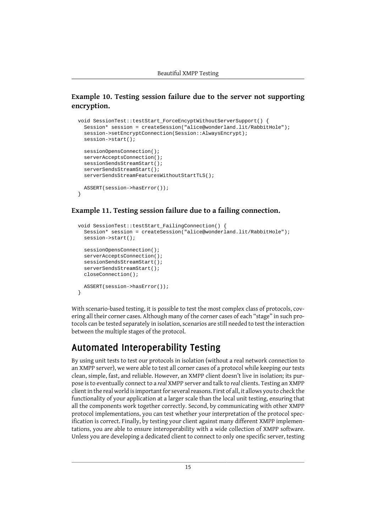#### <span id="page-14-0"></span>**Example 10. Testing session failure due to the server not supporting encryption.**

```
void SessionTest::testStart_ForceEncyptWithoutServerSupport() {
   Session* session = createSession("alice@wonderland.lit/RabbitHole");
   session->setEncryptConnection(Session::AlwaysEncrypt);
   session->start();
  sessionOpensConnection();
  serverAcceptsConnection();
   sessionSendsStreamStart();
   serverSendsStreamStart();
   serverSendsStreamFeaturesWithoutStartTLS();
   ASSERT(session->hasError());
}
```
#### <span id="page-14-1"></span>**Example 11. Testing session failure due to a failing connection.**

```
void SessionTest::testStart_FailingConnection() {
   Session* session = createSession("alice@wonderland.lit/RabbitHole");
   session->start();
   sessionOpensConnection();
   serverAcceptsConnection();
   sessionSendsStreamStart();
   serverSendsStreamStart();
   closeConnection();
  ASSERT(session->hasError());
}
```
With scenario-based testing, it is possible to test the most complex class of protocols, covering all their corner cases. Although many of the corner cases of each "stage" in such protocols can be tested separately in isolation, scenarios are still needed to test the interaction between the multiple stages of the protocol.

## **Automated Interoperability Testing**

By using unit tests to test our protocols in isolation (without a real network connection to an XMPP server), we were able to test all corner cases of a protocol while keeping our tests clean, simple, fast, and reliable. However, an XMPP client doesn't live in isolation; its purpose is to eventually connect to a *real* XMPP server and talk to *real* clients. Testing an XMPP client in the real world is important for several reasons. First of all, it allows you to check the functionality of your application at a larger scale than the local unit testing, ensuring that all the components work together correctly. Second, by communicating with other XMPP protocol implementations, you can test whether your interpretation of the protocol specification is correct. Finally, by testing your client against many different XMPP implementations, you are able to ensure interoperability with a wide collection of XMPP software. Unless you are developing a dedicated client to connect to only one specific server, testing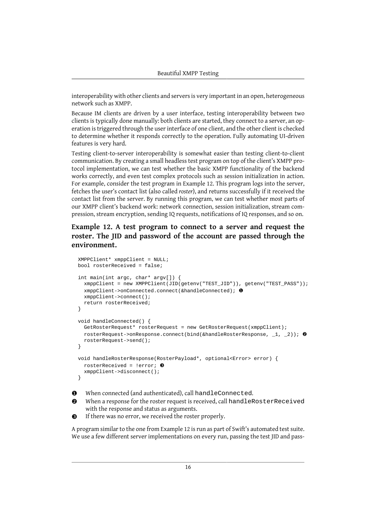interoperability with other clients and servers is very important in an open, heterogeneous network such as XMPP.

Because IM clients are driven by a user interface, testing interoperability between two clients is typically done manually: both clients are started, they connect to a server, an operation is triggered through the user interface of one client, and the other client is checked to determine whether it responds correctly to the operation. Fully automating UI-driven features is very hard.

Testing client-to-server interoperability is somewhat easier than testing client-to-client communication. By creating a small headless test program on top of the client's XMPP protocol implementation, we can test whether the basic XMPP functionality of the backend works correctly, and even test complex protocols such as session initialization in action. For example, consider the test program in [Example 12.](#page-15-0) This program logs into the server, fetches the user's contact list (also called *roster*), and returns successfully if it received the contact list from the server. By running this program, we can test whether most parts of our XMPP client's backend work: network connection, session initialization, stream compression, stream encryption, sending IQ requests, notifications of IQ responses, and so on.

<span id="page-15-0"></span>**Example 12. A test program to connect to a server and request the roster. The JID and password of the account are passed through the environment.**

```
XMPPClient* xmppClient = NULL;
bool rosterReceived = false;
int main(int argc, char* argv[]) {
   xmppClient = new XMPPClient(JID(getenv("TEST_JID")), getenv("TEST_PASS"));
   xmppClient->onConnected.connect(&handleConnected); ❶
   xmppClient->connect();
   return rosterReceived;
}
void handleConnected() {
   GetRosterRequest* rosterRequest = new GetRosterRequest(xmppClient);
   rosterRequest->onResponse.connect(bind(&handleRosterResponse, _1, _2)); ❷
   rosterRequest->send();
}
void handleRosterResponse(RosterPayload*, optional<Error> error) {
   rosterReceived = !error; ❸
   xmppClient->disconnect();
}
```
❶ When connected (and authenticated), call handleConnected.

- ❷ When a response for the roster request is received, call handleRosterReceived with the response and status as arguments.
- ❸ If there was no error, we received the roster properly.

A program similar to the one from [Example 12](#page-15-0) is run as part of Swift's automated test suite. We use a few different server implementations on every run, passing the test JID and pass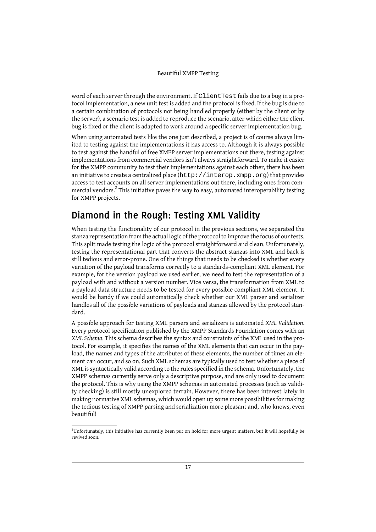word of each server through the environment. If ClientTest fails due to a bug in a protocol implementation, a new unit test is added and the protocol is fixed. If the bug is due to a certain combination of protocols not being handled properly (either by the client or by the server), a scenario test is added to reproduce the scenario, after which either the client bug is fixed or the client is adapted to work around a specific server implementation bug.

When using automated tests like the one just described, a project is of course always limited to testing against the implementations it has access to. Although it is always possible to test against the handful of free XMPP server implementations out there, testing against implementations from commercial vendors isn't always straightforward. To make it easier for the XMPP community to test their implementations against each other, there has been an initiative to create a centralized place  $(htttp://interop,xmpp.org)$  that provides access to test accounts on all server implementations out there, including ones from commercial vendors. $^2$  This initiative paves the way to easy, automated interoperability testing for XMPP projects.

## **Diamond in the Rough: Testing XML Validity**

When testing the functionality of our protocol in the previous sections, we separated the stanza representation from the actual logic of the protocol to improve the focus of our tests. This split made testing the logic of the protocol straightforward and clean. Unfortunately, testing the representational part that converts the abstract stanzas into XML and back is still tedious and error-prone. One of the things that needs to be checked is whether every variation of the payload transforms correctly to a standards-compliant XML element. For example, for the version payload we used earlier, we need to test the representation of a payload with and without a version number. Vice versa, the transformation from XML to a payload data structure needs to be tested for every possible compliant XML element. It would be handy if we could automatically check whether our XML parser and serializer handles all of the possible variations of payloads and stanzas allowed by the protocol standard.

A possible approach for testing XML parsers and serializers is automated *XML Validation*. Every protocol specification published by the XMPP Standards Foundation comes with an *XML Schema*. This schema describes the syntax and constraints of the XML used in the protocol. For example, it specifies the names of the XML elements that can occur in the payload, the names and types of the attributes of these elements, the number of times an element can occur, and so on. Such XML schemas are typically used to test whether a piece of XML is syntactically valid according to the rules specified in the schema. Unfortunately, the XMPP schemas currently serve only a descriptive purpose, and are only used to document the protocol. This is why using the XMPP schemas in automated processes (such as validity checking) is still mostly unexplored terrain. However, there has been interest lately in making normative XML schemas, which would open up some more possibilities for making the tedious testing of XMPP parsing and serialization more pleasant and, who knows, even beautiful!

 $2$ Unfortunately, this initiative has currently been put on hold for more urgent matters, but it will hopefully be revived soon.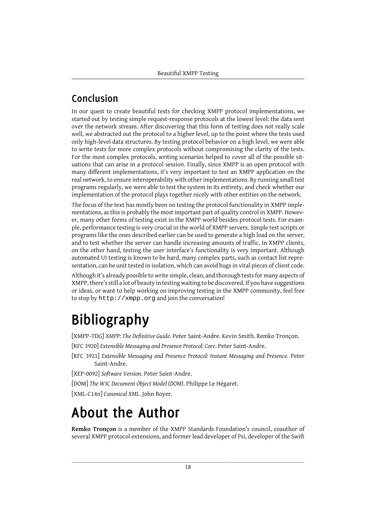## **Conclusion**

In our quest to create beautiful tests for checking XMPP protocol implementations, we started out by testing simple request-response protocols at the lowest level: the data sent over the network stream. After discovering that this form of testing does not really scale well, we abstracted out the protocol to a higher level, up to the point where the tests used only high-level data structures. By testing protocol behavior on a high level, we were able to write tests for more complex protocols without compromising the clarity of the tests. For the most complex protocols, writing scenarios helped to cover all of the possible situations that can arise in a protocol session. Finally, since XMPP is an open protocol with many different implementations, it's very important to test an XMPP application on the real network, to ensure interoperability with other implementations. By running small test programs regularly, we were able to test the system in its entirety, and check whether our implementation of the protocol plays together nicely with other entities on the network.

The focus of the text has mostly been on testing the protocol functionality in XMPP implementations, as this is probably the most important part of quality control in XMPP. However, many other forms of testing exist in the XMPP world besides protocol tests. For example, performance testing is very crucial in the world of XMPP servers. Simple test scripts or programs like the ones described earlier can be used to generate a high load on the server, and to test whether the server can handle increasing amounts of traffic. In XMPP clients, on the other hand, testing the user interface's functionality is very important. Although automated UI testing is known to be hard, many complex parts, such as contact list representation, can be unit tested in isolation, which can avoid bugs in vital pieces of client code.

Although it's already possible to write simple, clean, and thorough tests for many aspects of XMPP, there's still a lot of beauty in testing waiting to be discovered. If you have suggestions or ideas, or want to help working on improving testing in the XMPP community, feel free to stop by <http://xmpp.org> and join the conversation!

## **Bibliography**

<span id="page-17-0"></span>[XMPP-TDG] *[XMPP: The Definitive Guide](http://oreilly.com/catalog/9780596157197/)*. Peter Saint-Andre. Kevin Smith. Remko Tronçon.

- <span id="page-17-1"></span>[RFC 3920] *[Extensible Messaging and Presence Protocol: Core](http://www.ietf.org/rfc/rfc3920.txt)*. Peter Saint-Andre.
- <span id="page-17-2"></span>[RFC 3921] *[Extensible Messaging and Presence Protocol: Instant Messaging and Presence](http://www.ietf.org/rfc/rfc3921.txt)*. Peter Saint-Andre.

<span id="page-17-3"></span>[XEP-0092] *[Software Version](http://www.xmpp.org/extensions/xep-0092.html)*. Peter Saint-Andre.

<span id="page-17-4"></span>[DOM] *[The W3C Document Object Model \(DOM\)](http://www.w3.org/2002/07/26-dom-article.html)*. Philippe Le Hégaret.

<span id="page-17-5"></span>[XML-C14n] *[Canonical XML](http://www.w3.org/TR/xml-C14n.html)*. John Boyer.

## **About the Author**

**Remko Tronçon** is a member of the [XMPP Standards Foundation'](http://xmpp.org)s council, coauthor of several XMPP protocol extensions, and former lead developer of [Psi](http://psi-im.org), developer of the [Swift](http://swift.im)